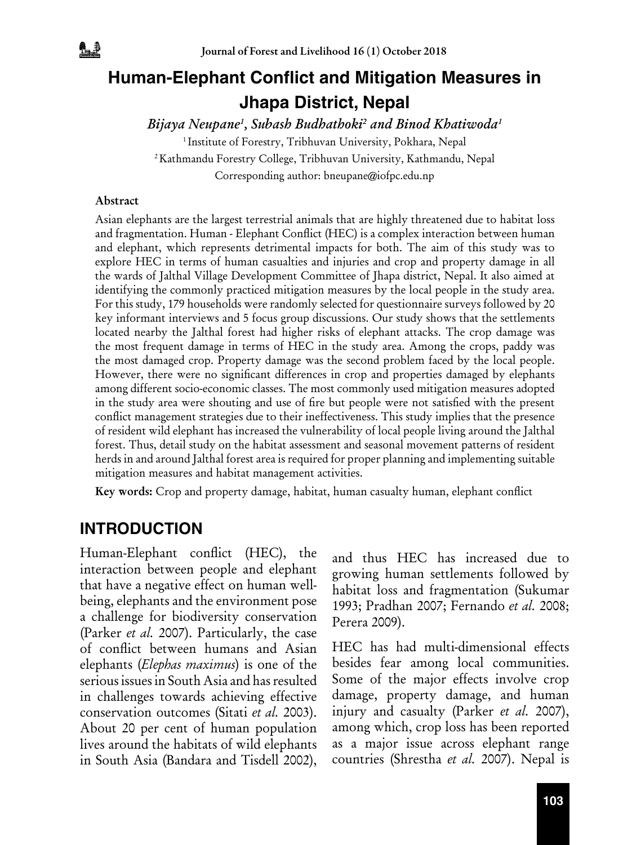

# **Human-Elephant Conflict and Mitigation Measures in Jhapa District, Nepal**

*Bijaya Neupane1 , Subash Budhathoki2 and Binod Khatiwoda1*

<sup>1</sup> Institute of Forestry, Tribhuvan University, Pokhara, Nepal 2 Kathmandu Forestry College, Tribhuvan University, Kathmandu, Nepal Corresponding author: bneupane@iofpc.edu.np

#### Abstract

Asian elephants are the largest terrestrial animals that are highly threatened due to habitat loss and fragmentation. Human - Elephant Conflict (HEC) is a complex interaction between human and elephant, which represents detrimental impacts for both. The aim of this study was to explore HEC in terms of human casualties and injuries and crop and property damage in all the wards of Jalthal Village Development Committee of Jhapa district, Nepal. It also aimed at identifying the commonly practiced mitigation measures by the local people in the study area. For this study, 179 households were randomly selected for questionnaire surveys followed by 20 key informant interviews and 5 focus group discussions. Our study shows that the settlements located nearby the Jalthal forest had higher risks of elephant attacks. The crop damage was the most frequent damage in terms of HEC in the study area. Among the crops, paddy was the most damaged crop. Property damage was the second problem faced by the local people. However, there were no significant differences in crop and properties damaged by elephants among different socio-economic classes. The most commonly used mitigation measures adopted in the study area were shouting and use of fire but people were not satisfied with the present conflict management strategies due to their ineffectiveness. This study implies that the presence of resident wild elephant has increased the vulnerability of local people living around the Jalthal forest. Thus, detail study on the habitat assessment and seasonal movement patterns of resident herds in and around Jalthal forest area is required for proper planning and implementing suitable mitigation measures and habitat management activities.

Key words: Crop and property damage, habitat, human casualty human, elephant conflict

### **INTRODUCTION**

Human-Elephant conflict (HEC), the interaction between people and elephant that have a negative effect on human wellbeing, elephants and the environment pose a challenge for biodiversity conservation (Parker *et al.* 2007). Particularly, the case of conflict between humans and Asian elephants (*Elephas maximus*) is one of the serious issues in South Asia and has resulted in challenges towards achieving effective conservation outcomes (Sitati *et al.* 2003). About 20 per cent of human population lives around the habitats of wild elephants in South Asia (Bandara and Tisdell 2002),

and thus HEC has increased due to growing human settlements followed by habitat loss and fragmentation (Sukumar 1993; Pradhan 2007; Fernando *et al.* 2008; Perera 2009).

HEC has had multi-dimensional effects besides fear among local communities. Some of the major effects involve crop damage, property damage, and human injury and casualty (Parker *et al.* 2007), among which, crop loss has been reported as a major issue across elephant range countries (Shrestha *et al.* 2007). Nepal is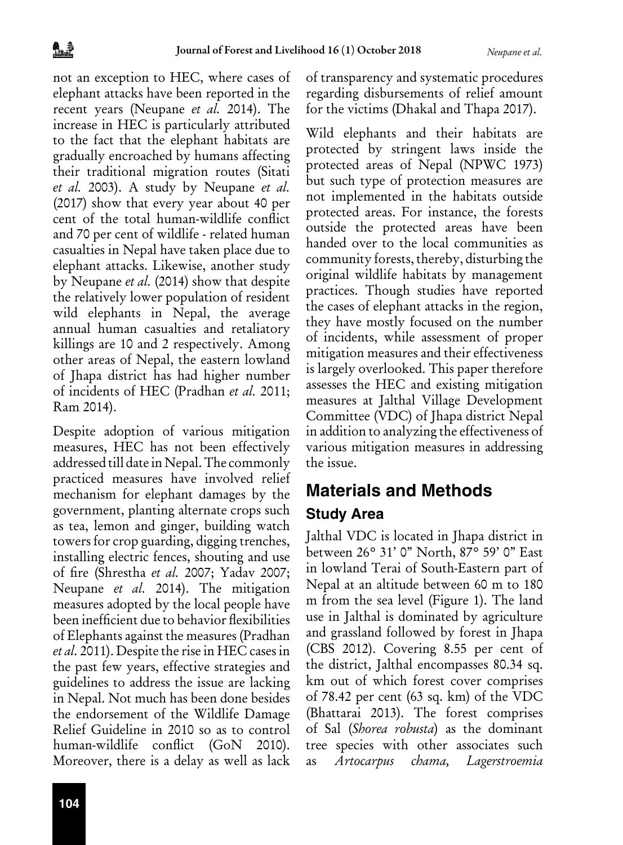not an exception to HEC, where cases of elephant attacks have been reported in the recent years (Neupane *et al.* 2014). The increase in HEC is particularly attributed to the fact that the elephant habitats are gradually encroached by humans affecting their traditional migration routes (Sitati *et al.* 2003). A study by Neupane *et al.* (2017) show that every year about 40 per cent of the total human-wildlife conflict and 70 per cent of wildlife - related human casualties in Nepal have taken place due to elephant attacks. Likewise, another study by Neupane *et al.* (2014) show that despite the relatively lower population of resident wild elephants in Nepal, the average annual human casualties and retaliatory killings are 10 and 2 respectively. Among other areas of Nepal, the eastern lowland of Jhapa district has had higher number of incidents of HEC (Pradhan *et al.* 2011; Ram 2014).

Despite adoption of various mitigation measures, HEC has not been effectively addressed till date in Nepal. The commonly practiced measures have involved relief mechanism for elephant damages by the government, planting alternate crops such as tea, lemon and ginger, building watch towers for crop guarding, digging trenches, installing electric fences, shouting and use of fire (Shrestha *et al.* 2007; Yadav 2007; Neupane *et al.* 2014). The mitigation measures adopted by the local people have been inefficient due to behavior flexibilities of Elephants against the measures (Pradhan *et al.* 2011). Despite the rise in HEC cases in the past few years, effective strategies and guidelines to address the issue are lacking in Nepal. Not much has been done besides the endorsement of the Wildlife Damage Relief Guideline in 2010 so as to control human-wildlife conflict (GoN 2010). Moreover, there is a delay as well as lack

of transparency and systematic procedures regarding disbursements of relief amount for the victims (Dhakal and Thapa 2017).

Wild elephants and their habitats are protected by stringent laws inside the protected areas of Nepal (NPWC 1973) but such type of protection measures are not implemented in the habitats outside protected areas. For instance, the forests outside the protected areas have been handed over to the local communities as community forests, thereby, disturbing the original wildlife habitats by management practices. Though studies have reported the cases of elephant attacks in the region, they have mostly focused on the number of incidents, while assessment of proper mitigation measures and their effectiveness is largely overlooked. This paper therefore assesses the HEC and existing mitigation measures at Jalthal Village Development Committee (VDC) of Jhapa district Nepal in addition to analyzing the effectiveness of various mitigation measures in addressing the issue.

# **Materials and Methods Study Area**

Jalthal VDC is located in Jhapa district in between 26° 31' 0" North, 87° 59' 0" East in lowland Terai of South-Eastern part of Nepal at an altitude between 60 m to 180 m from the sea level (Figure 1). The land use in Jalthal is dominated by agriculture and grassland followed by forest in Jhapa (CBS 2012). Covering 8.55 per cent of the district, Jalthal encompasses 80.34 sq. km out of which forest cover comprises of 78.42 per cent (63 sq. km) of the VDC (Bhattarai 2013). The forest comprises of Sal (*Shorea robusta*) as the dominant tree species with other associates such as *Artocarpus chama, Lagerstroemia*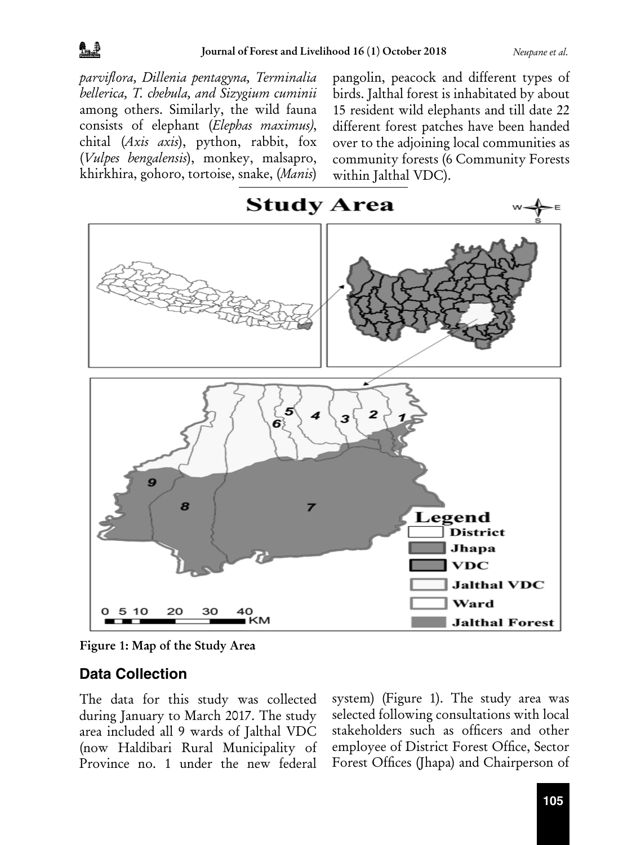*parviflora, Dillenia pentagyna, Terminalia bellerica, T. chebula, and Sizygium cuminii*  among others. Similarly, the wild fauna consists of elephant (*Elephas maximus)*, chital (*Axis axis*), python, rabbit, fox (*Vulpes bengalensis*), monkey, malsapro, khirkhira, gohoro, tortoise, snake, (*Manis*)

pangolin, peacock and different types of birds. Jalthal forest is inhabitated by about 15 resident wild elephants and till date 22 different forest patches have been handed over to the adjoining local communities as community forests (6 Community Forests within Jalthal VDC).



Figure 1: Map of the Study Area

### **Data Collection**

The data for this study was collected during January to March 2017. The study area included all 9 wards of Jalthal VDC (now Haldibari Rural Municipality of Province no. 1 under the new federal

system) (Figure 1). The study area was selected following consultations with local stakeholders such as officers and other employee of District Forest Office, Sector Forest Offices (Jhapa) and Chairperson of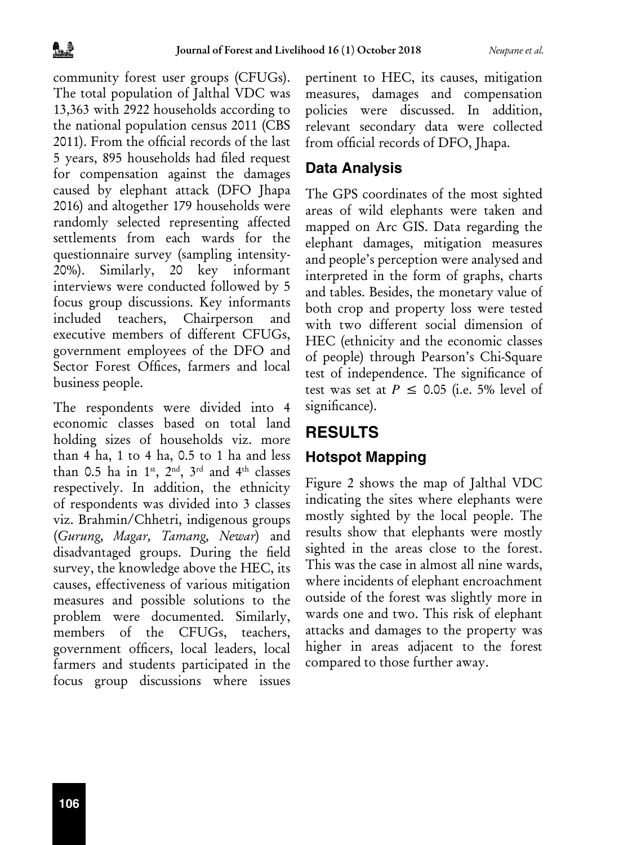community forest user groups (CFUGs). The total population of Jalthal VDC was 13,363 with 2922 households according to the national population census 2011 (CBS 2011). From the official records of the last 5 years, 895 households had filed request for compensation against the damages caused by elephant attack (DFO Jhapa 2016) and altogether 179 households were randomly selected representing affected settlements from each wards for the questionnaire survey (sampling intensity-20%). Similarly, 20 key informant interviews were conducted followed by 5 focus group discussions. Key informants included teachers, Chairperson and executive members of different CFUGs, government employees of the DFO and Sector Forest Offices, farmers and local business people.

The respondents were divided into 4 economic classes based on total land holding sizes of households viz. more than 4 ha, 1 to 4 ha, 0.5 to 1 ha and less than 0.5 ha in  $1^{st}$ ,  $2^{nd}$ ,  $3^{rd}$  and  $4^{th}$  classes respectively. In addition, the ethnicity of respondents was divided into 3 classes viz. Brahmin/Chhetri, indigenous groups (*Gurung, Magar, Tamang, Newar*) and disadvantaged groups. During the field survey, the knowledge above the HEC, its causes, effectiveness of various mitigation measures and possible solutions to the problem were documented. Similarly, members of the CFUGs, teachers, government officers, local leaders, local farmers and students participated in the focus group discussions where issues

pertinent to HEC, its causes, mitigation measures, damages and compensation policies were discussed. In addition, relevant secondary data were collected from official records of DFO, Jhapa.

#### **Data Analysis**

The GPS coordinates of the most sighted areas of wild elephants were taken and mapped on Arc GIS. Data regarding the elephant damages, mitigation measures and people's perception were analysed and interpreted in the form of graphs, charts and tables. Besides, the monetary value of both crop and property loss were tested with two different social dimension of HEC (ethnicity and the economic classes of people) through Pearson's Chi-Square test of independence. The significance of test was set at  $P \le 0.05$  (i.e. 5% level of significance).

# **RESULTS Hotspot Mapping**

Figure 2 shows the map of Jalthal VDC indicating the sites where elephants were mostly sighted by the local people. The results show that elephants were mostly sighted in the areas close to the forest. This was the case in almost all nine wards, where incidents of elephant encroachment outside of the forest was slightly more in wards one and two. This risk of elephant attacks and damages to the property was higher in areas adjacent to the forest compared to those further away.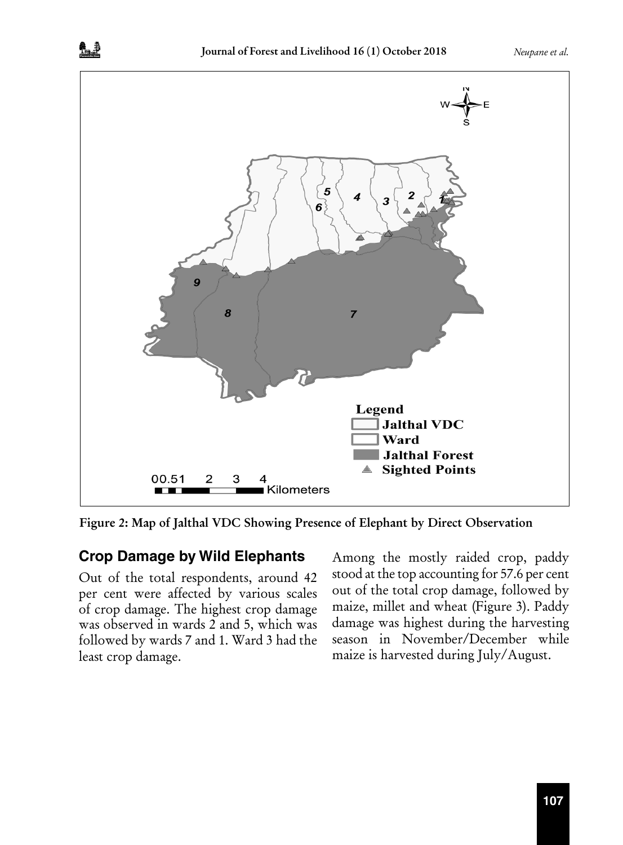

Figure 2: Map of Jalthal VDC Showing Presence of Elephant by Direct Observation

### **Crop Damage by Wild Elephants**

Out of the total respondents, around 42 per cent were affected by various scales of crop damage. The highest crop damage was observed in wards 2 and 5, which was followed by wards 7 and 1. Ward 3 had the least crop damage.

Among the mostly raided crop, paddy stood at the top accounting for 57.6 per cent out of the total crop damage, followed by maize, millet and wheat (Figure 3). Paddy damage was highest during the harvesting season in November/December while maize is harvested during July/August.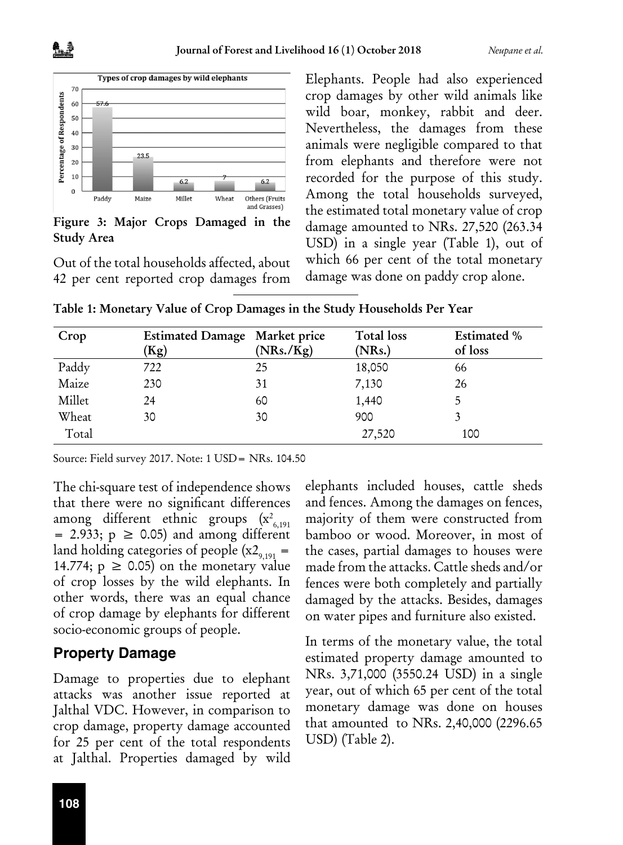

Figure 3: Major Crops Damaged in the Study Area

Out of the total households affected, about 42 per cent reported crop damages from Elephants. People had also experienced crop damages by other wild animals like wild boar, monkey, rabbit and deer. Nevertheless, the damages from these animals were negligible compared to that from elephants and therefore were not recorded for the purpose of this study. Among the total households surveyed, the estimated total monetary value of crop damage amounted to NRs. 27,520 (263.34 USD) in a single year (Table 1), out of which 66 per cent of the total monetary damage was done on paddy crop alone.

| Crop   | Estimated Damage Market price<br>(Kg) | (NRs./Kg) | Total loss<br>(NRs.) | <b>Estimated</b> %<br>of loss |
|--------|---------------------------------------|-----------|----------------------|-------------------------------|
| Paddy  | 722                                   | 25        | 18,050               | 66                            |
| Maize  | 230                                   | 31        | 7,130                | 26                            |
| Millet | 24                                    | 60        | 1,440                | 5                             |
| Wheat  | 30                                    | 30        | 900                  | 3                             |
| Total  |                                       |           | 27,520               | 100                           |

Table 1: Monetary Value of Crop Damages in the Study Households Per Year

Source: Field survey 2017. Note: 1 USD= NRs. 104.50

The chi-square test of independence shows that there were no significant differences among different ethnic groups  $(x_{6,191}^2)$ = 2.933;  $p \ge 0.05$  and among different land holding categories of people  $(x2_{9,191}$  = 14.774;  $p \geq 0.05$  on the monetary value of crop losses by the wild elephants. In other words, there was an equal chance of crop damage by elephants for different socio-economic groups of people.

### **Property Damage**

Damage to properties due to elephant attacks was another issue reported at Jalthal VDC. However, in comparison to crop damage, property damage accounted for 25 per cent of the total respondents at Jalthal. Properties damaged by wild elephants included houses, cattle sheds and fences. Among the damages on fences, majority of them were constructed from bamboo or wood. Moreover, in most of the cases, partial damages to houses were made from the attacks. Cattle sheds and/or fences were both completely and partially damaged by the attacks. Besides, damages on water pipes and furniture also existed.

In terms of the monetary value, the total estimated property damage amounted to NRs. 3,71,000 (3550.24 USD) in a single year, out of which 65 per cent of the total monetary damage was done on houses that amounted to NRs. 2,40,000 (2296.65 USD) (Table 2).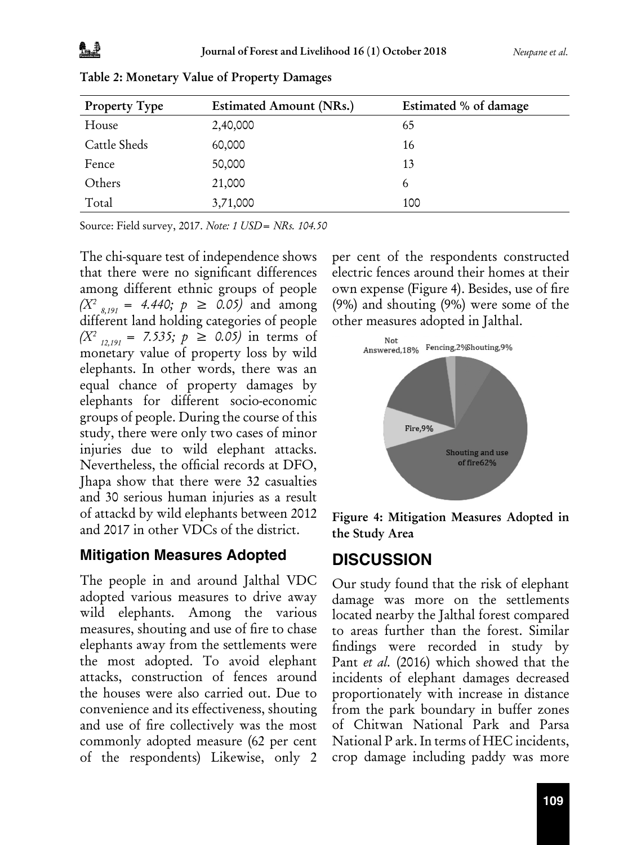| <b>Property Type</b> | <b>Estimated Amount (NRs.)</b> | Estimated % of damage |
|----------------------|--------------------------------|-----------------------|
| House                | 2,40,000                       | 65                    |
| Cattle Sheds         | 60,000                         | 16                    |
| Fence                | 50,000                         | 13                    |
| Others               | 21,000                         | 6                     |
| Total                | 3,71,000                       | 100                   |

Table 2: Monetary Value of Property Damages

Source: Field survey, 2017. *Note: 1 USD= NRs. 104.50*

The chi-square test of independence shows that there were no significant differences among different ethnic groups of people  $(X^2_{8,191} = 4.440; p \ge 0.05)$  and among different land holding categories of people  $(X^2_{12,191} = 7.535; p \ge 0.05)$  in terms of monetary value of property loss by wild elephants. In other words, there was an equal chance of property damages by elephants for different socio-economic groups of people. During the course of this study, there were only two cases of minor injuries due to wild elephant attacks. Nevertheless, the official records at DFO, Jhapa show that there were 32 casualties and 30 serious human injuries as a result of attackd by wild elephants between 2012 and 2017 in other VDCs of the district.

### **Mitigation Measures Adopted**

The people in and around Jalthal VDC adopted various measures to drive away wild elephants. Among the various measures, shouting and use of fire to chase elephants away from the settlements were the most adopted. To avoid elephant attacks, construction of fences around the houses were also carried out. Due to convenience and its effectiveness, shouting and use of fire collectively was the most commonly adopted measure (62 per cent of the respondents) Likewise, only 2 per cent of the respondents constructed electric fences around their homes at their own expense (Figure 4). Besides, use of fire (9%) and shouting (9%) were some of the other measures adopted in Jalthal.



Figure 4: Mitigation Measures Adopted in the Study Area

# **DISCUSSION**

Our study found that the risk of elephant damage was more on the settlements located nearby the Jalthal forest compared to areas further than the forest. Similar findings were recorded in study by Pant *et al.* (2016) which showed that the incidents of elephant damages decreased proportionately with increase in distance from the park boundary in buffer zones of Chitwan National Park and Parsa National P ark. In terms of HEC incidents, crop damage including paddy was more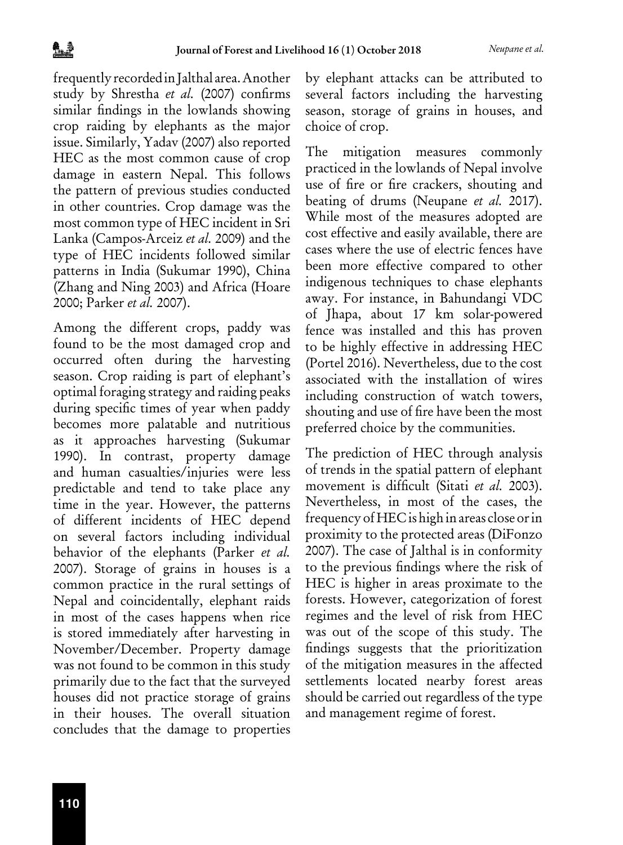frequently recorded in Jalthal area. Another study by Shrestha *et al.* (2007) confirms similar findings in the lowlands showing crop raiding by elephants as the major issue. Similarly, Yadav (2007) also reported HEC as the most common cause of crop damage in eastern Nepal. This follows the pattern of previous studies conducted in other countries. Crop damage was the most common type of HEC incident in Sri Lanka (Campos-Arceiz *et al.* 2009) and the type of HEC incidents followed similar patterns in India (Sukumar 1990), China (Zhang and Ning 2003) and Africa (Hoare 2000; Parker *et al.* 2007).

Among the different crops, paddy was found to be the most damaged crop and occurred often during the harvesting season. Crop raiding is part of elephant's optimal foraging strategy and raiding peaks during specific times of year when paddy becomes more palatable and nutritious as it approaches harvesting (Sukumar 1990). In contrast, property damage and human casualties/injuries were less predictable and tend to take place any time in the year. However, the patterns of different incidents of HEC depend on several factors including individual behavior of the elephants (Parker *et al.* 2007). Storage of grains in houses is a common practice in the rural settings of Nepal and coincidentally, elephant raids in most of the cases happens when rice is stored immediately after harvesting in November/December. Property damage was not found to be common in this study primarily due to the fact that the surveyed houses did not practice storage of grains in their houses. The overall situation concludes that the damage to properties

by elephant attacks can be attributed to several factors including the harvesting season, storage of grains in houses, and choice of crop.

The mitigation measures commonly practiced in the lowlands of Nepal involve use of fire or fire crackers, shouting and beating of drums (Neupane *et al.* 2017). While most of the measures adopted are cost effective and easily available, there are cases where the use of electric fences have been more effective compared to other indigenous techniques to chase elephants away. For instance, in Bahundangi VDC of Jhapa, about 17 km solar-powered fence was installed and this has proven to be highly effective in addressing HEC (Portel 2016). Nevertheless, due to the cost associated with the installation of wires including construction of watch towers, shouting and use of fire have been the most preferred choice by the communities.

The prediction of HEC through analysis of trends in the spatial pattern of elephant movement is difficult (Sitati *et al.* 2003). Nevertheless, in most of the cases, the frequency of HEC is high in areas close or in proximity to the protected areas (DiFonzo 2007). The case of Jalthal is in conformity to the previous findings where the risk of HEC is higher in areas proximate to the forests. However, categorization of forest regimes and the level of risk from HEC was out of the scope of this study. The findings suggests that the prioritization of the mitigation measures in the affected settlements located nearby forest areas should be carried out regardless of the type and management regime of forest.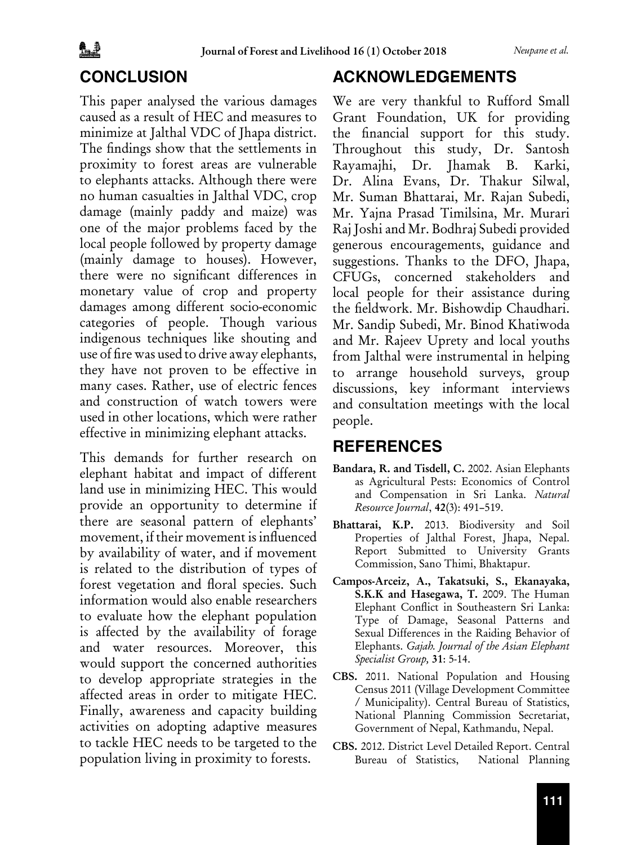# **CONCLUSION**

This paper analysed the various damages caused as a result of HEC and measures to minimize at Jalthal VDC of Jhapa district. The findings show that the settlements in proximity to forest areas are vulnerable to elephants attacks. Although there were no human casualties in Jalthal VDC, crop damage (mainly paddy and maize) was one of the major problems faced by the local people followed by property damage (mainly damage to houses). However, there were no significant differences in monetary value of crop and property damages among different socio-economic categories of people. Though various indigenous techniques like shouting and use of fire was used to drive away elephants, they have not proven to be effective in many cases. Rather, use of electric fences and construction of watch towers were used in other locations, which were rather effective in minimizing elephant attacks.

This demands for further research on elephant habitat and impact of different land use in minimizing HEC. This would provide an opportunity to determine if there are seasonal pattern of elephants' movement, if their movement is influenced by availability of water, and if movement is related to the distribution of types of forest vegetation and floral species. Such information would also enable researchers to evaluate how the elephant population is affected by the availability of forage and water resources. Moreover, this would support the concerned authorities to develop appropriate strategies in the affected areas in order to mitigate HEC. Finally, awareness and capacity building activities on adopting adaptive measures to tackle HEC needs to be targeted to the population living in proximity to forests.

## **ACKNOWLEDGEMENTS**

We are very thankful to Rufford Small Grant Foundation, UK for providing the financial support for this study. Throughout this study, Dr. Santosh Rayamajhi, Dr. Jhamak B. Karki, Dr. Alina Evans, Dr. Thakur Silwal, Mr. Suman Bhattarai, Mr. Rajan Subedi, Mr. Yajna Prasad Timilsina, Mr. Murari Raj Joshi and Mr. Bodhraj Subedi provided generous encouragements, guidance and suggestions. Thanks to the DFO, Jhapa, CFUGs, concerned stakeholders and local people for their assistance during the fieldwork. Mr. Bishowdip Chaudhari. Mr. Sandip Subedi, Mr. Binod Khatiwoda and Mr. Rajeev Uprety and local youths from Jalthal were instrumental in helping to arrange household surveys, group discussions, key informant interviews and consultation meetings with the local people.

### **REFERENCES**

- Bandara, R. and Tisdell, C. 2002. Asian Elephants as Agricultural Pests: Economics of Control and Compensation in Sri Lanka. *Natural Resource Journal*, 42(3): 491–519.
- Bhattarai, K.P. 2013. Biodiversity and Soil Properties of Jalthal Forest, Jhapa, Nepal. Report Submitted to University Grants Commission, Sano Thimi, Bhaktapur.
- Campos-Arceiz, A., Takatsuki, S., Ekanayaka, S.K.K and Hasegawa, T. 2009. The Human Elephant Conflict in Southeastern Sri Lanka: Type of Damage, Seasonal Patterns and Sexual Differences in the Raiding Behavior of Elephants. *Gajah. Journal of the Asian Elephant Specialist Group,* 31: 5-14.
- CBS. 2011. National Population and Housing Census 2011 (Village Development Committee / Municipality). Central Bureau of Statistics, National Planning Commission Secretariat, Government of Nepal, Kathmandu, Nepal.
- CBS. 2012. District Level Detailed Report. Central Bureau of Statistics, National Planning